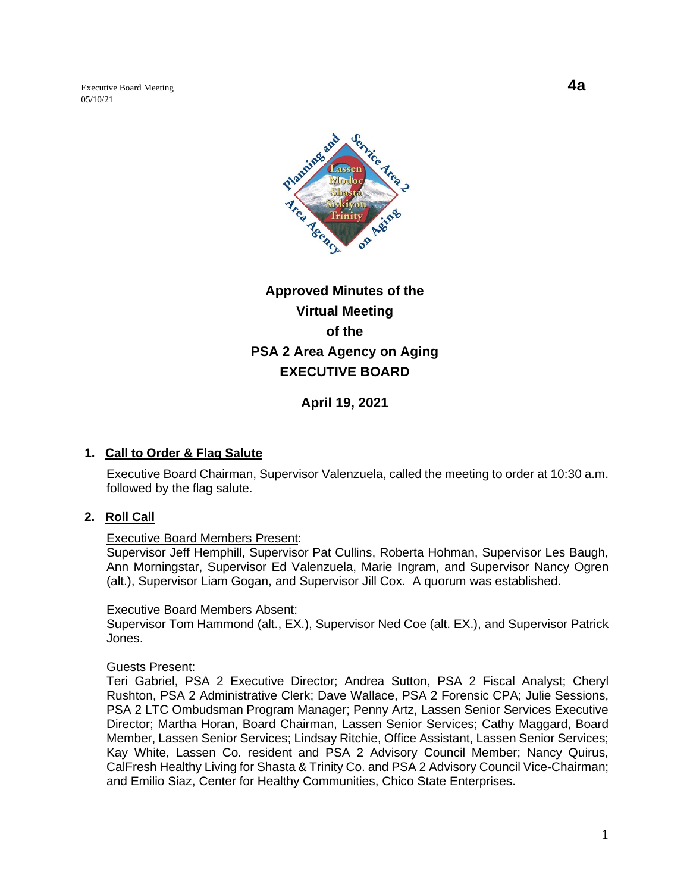Executive Board Meeting **4a** 05/10/21



# **Approved Minutes of the Virtual Meeting of the PSA 2 Area Agency on Aging EXECUTIVE BOARD**

**April 19, 2021**

## **1. Call to Order & Flag Salute**

Executive Board Chairman, Supervisor Valenzuela, called the meeting to order at 10:30 a.m. followed by the flag salute.

#### **2. Roll Call**

#### Executive Board Members Present:

Supervisor Jeff Hemphill, Supervisor Pat Cullins, Roberta Hohman, Supervisor Les Baugh, Ann Morningstar, Supervisor Ed Valenzuela, Marie Ingram, and Supervisor Nancy Ogren (alt.), Supervisor Liam Gogan, and Supervisor Jill Cox. A quorum was established.

#### Executive Board Members Absent:

Supervisor Tom Hammond (alt., EX.), Supervisor Ned Coe (alt. EX.), and Supervisor Patrick Jones.

#### Guests Present:

Teri Gabriel, PSA 2 Executive Director; Andrea Sutton, PSA 2 Fiscal Analyst; Cheryl Rushton, PSA 2 Administrative Clerk; Dave Wallace, PSA 2 Forensic CPA; Julie Sessions, PSA 2 LTC Ombudsman Program Manager; Penny Artz, Lassen Senior Services Executive Director; Martha Horan, Board Chairman, Lassen Senior Services; Cathy Maggard, Board Member, Lassen Senior Services; Lindsay Ritchie, Office Assistant, Lassen Senior Services; Kay White, Lassen Co. resident and PSA 2 Advisory Council Member; Nancy Quirus, CalFresh Healthy Living for Shasta & Trinity Co. and PSA 2 Advisory Council Vice-Chairman; and Emilio Siaz, Center for Healthy Communities, Chico State Enterprises.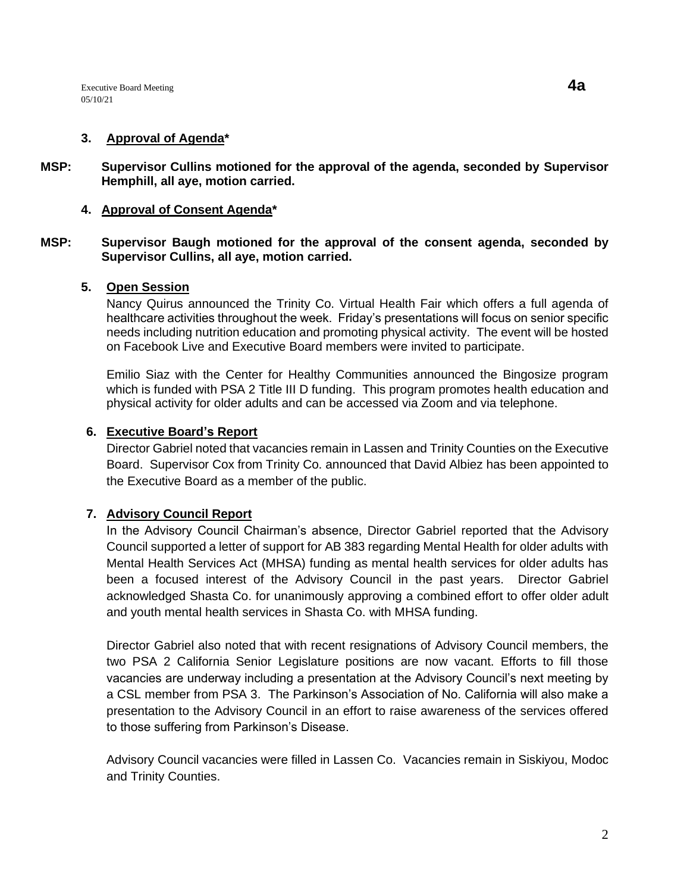#### **3. Approval of Agenda\***

**MSP: Supervisor Cullins motioned for the approval of the agenda, seconded by Supervisor Hemphill, all aye, motion carried.** 

# **4. Approval of Consent Agenda\***

## **MSP: Supervisor Baugh motioned for the approval of the consent agenda, seconded by Supervisor Cullins, all aye, motion carried.**

#### **5. Open Session**

Nancy Quirus announced the Trinity Co. Virtual Health Fair which offers a full agenda of healthcare activities throughout the week. Friday's presentations will focus on senior specific needs including nutrition education and promoting physical activity. The event will be hosted on Facebook Live and Executive Board members were invited to participate.

Emilio Siaz with the Center for Healthy Communities announced the Bingosize program which is funded with PSA 2 Title III D funding. This program promotes health education and physical activity for older adults and can be accessed via Zoom and via telephone.

## **6. Executive Board's Report**

Director Gabriel noted that vacancies remain in Lassen and Trinity Counties on the Executive Board. Supervisor Cox from Trinity Co. announced that David Albiez has been appointed to the Executive Board as a member of the public.

# **7. Advisory Council Report**

In the Advisory Council Chairman's absence, Director Gabriel reported that the Advisory Council supported a letter of support for AB 383 regarding Mental Health for older adults with Mental Health Services Act (MHSA) funding as mental health services for older adults has been a focused interest of the Advisory Council in the past years. Director Gabriel acknowledged Shasta Co. for unanimously approving a combined effort to offer older adult and youth mental health services in Shasta Co. with MHSA funding.

Director Gabriel also noted that with recent resignations of Advisory Council members, the two PSA 2 California Senior Legislature positions are now vacant. Efforts to fill those vacancies are underway including a presentation at the Advisory Council's next meeting by a CSL member from PSA 3. The Parkinson's Association of No. California will also make a presentation to the Advisory Council in an effort to raise awareness of the services offered to those suffering from Parkinson's Disease.

Advisory Council vacancies were filled in Lassen Co. Vacancies remain in Siskiyou, Modoc and Trinity Counties.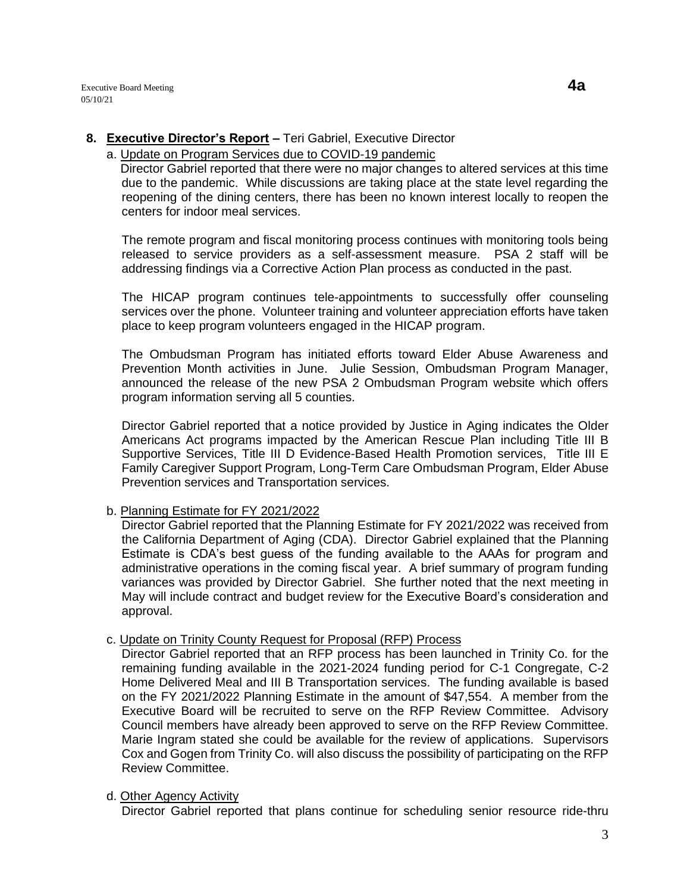# **8. Executive Director's Report –** Teri Gabriel, Executive Director

## a. Update on Program Services due to COVID-19 pandemic

 Director Gabriel reported that there were no major changes to altered services at this time due to the pandemic. While discussions are taking place at the state level regarding the reopening of the dining centers, there has been no known interest locally to reopen the centers for indoor meal services.

The remote program and fiscal monitoring process continues with monitoring tools being released to service providers as a self-assessment measure. PSA 2 staff will be addressing findings via a Corrective Action Plan process as conducted in the past.

The HICAP program continues tele-appointments to successfully offer counseling services over the phone. Volunteer training and volunteer appreciation efforts have taken place to keep program volunteers engaged in the HICAP program.

The Ombudsman Program has initiated efforts toward Elder Abuse Awareness and Prevention Month activities in June. Julie Session, Ombudsman Program Manager, announced the release of the new PSA 2 Ombudsman Program website which offers program information serving all 5 counties.

Director Gabriel reported that a notice provided by Justice in Aging indicates the Older Americans Act programs impacted by the American Rescue Plan including Title III B Supportive Services, Title III D Evidence-Based Health Promotion services, Title III E Family Caregiver Support Program, Long-Term Care Ombudsman Program, Elder Abuse Prevention services and Transportation services.

# b. Planning Estimate for FY 2021/2022

Director Gabriel reported that the Planning Estimate for FY 2021/2022 was received from the California Department of Aging (CDA). Director Gabriel explained that the Planning Estimate is CDA's best guess of the funding available to the AAAs for program and administrative operations in the coming fiscal year. A brief summary of program funding variances was provided by Director Gabriel. She further noted that the next meeting in May will include contract and budget review for the Executive Board's consideration and approval.

#### c. Update on Trinity County Request for Proposal (RFP) Process

Director Gabriel reported that an RFP process has been launched in Trinity Co. for the remaining funding available in the 2021-2024 funding period for C-1 Congregate, C-2 Home Delivered Meal and III B Transportation services. The funding available is based on the FY 2021/2022 Planning Estimate in the amount of \$47,554. A member from the Executive Board will be recruited to serve on the RFP Review Committee. Advisory Council members have already been approved to serve on the RFP Review Committee. Marie Ingram stated she could be available for the review of applications. Supervisors Cox and Gogen from Trinity Co. will also discuss the possibility of participating on the RFP Review Committee.

# d. Other Agency Activity

Director Gabriel reported that plans continue for scheduling senior resource ride-thru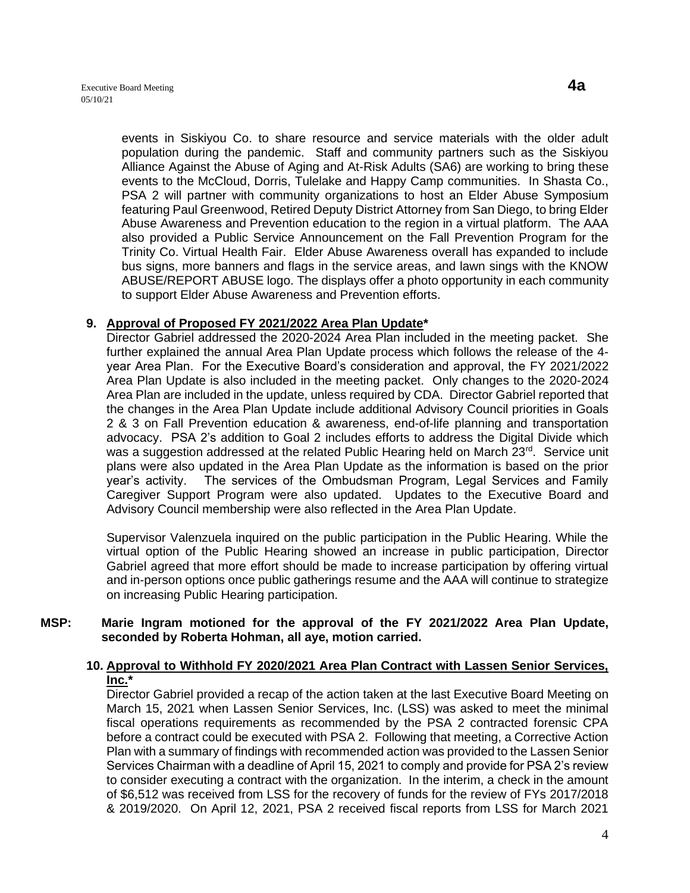events in Siskiyou Co. to share resource and service materials with the older adult population during the pandemic. Staff and community partners such as the Siskiyou Alliance Against the Abuse of Aging and At-Risk Adults (SA6) are working to bring these events to the McCloud, Dorris, Tulelake and Happy Camp communities. In Shasta Co., PSA 2 will partner with community organizations to host an Elder Abuse Symposium featuring Paul Greenwood, Retired Deputy District Attorney from San Diego, to bring Elder Abuse Awareness and Prevention education to the region in a virtual platform. The AAA also provided a Public Service Announcement on the Fall Prevention Program for the Trinity Co. Virtual Health Fair. Elder Abuse Awareness overall has expanded to include bus signs, more banners and flags in the service areas, and lawn sings with the KNOW ABUSE/REPORT ABUSE logo. The displays offer a photo opportunity in each community to support Elder Abuse Awareness and Prevention efforts.

## **9. Approval of Proposed FY 2021/2022 Area Plan Update\***

Director Gabriel addressed the 2020-2024 Area Plan included in the meeting packet. She further explained the annual Area Plan Update process which follows the release of the 4 year Area Plan. For the Executive Board's consideration and approval, the FY 2021/2022 Area Plan Update is also included in the meeting packet. Only changes to the 2020-2024 Area Plan are included in the update, unless required by CDA. Director Gabriel reported that the changes in the Area Plan Update include additional Advisory Council priorities in Goals 2 & 3 on Fall Prevention education & awareness, end-of-life planning and transportation advocacy. PSA 2's addition to Goal 2 includes efforts to address the Digital Divide which was a suggestion addressed at the related Public Hearing held on March 23<sup>rd</sup>. Service unit plans were also updated in the Area Plan Update as the information is based on the prior year's activity. The services of the Ombudsman Program, Legal Services and Family Caregiver Support Program were also updated. Updates to the Executive Board and Advisory Council membership were also reflected in the Area Plan Update.

Supervisor Valenzuela inquired on the public participation in the Public Hearing. While the virtual option of the Public Hearing showed an increase in public participation, Director Gabriel agreed that more effort should be made to increase participation by offering virtual and in-person options once public gatherings resume and the AAA will continue to strategize on increasing Public Hearing participation.

#### **MSP: Marie Ingram motioned for the approval of the FY 2021/2022 Area Plan Update, seconded by Roberta Hohman, all aye, motion carried.**

## **10. Approval to Withhold FY 2020/2021 Area Plan Contract with Lassen Senior Services, Inc.\***

Director Gabriel provided a recap of the action taken at the last Executive Board Meeting on March 15, 2021 when Lassen Senior Services, Inc. (LSS) was asked to meet the minimal fiscal operations requirements as recommended by the PSA 2 contracted forensic CPA before a contract could be executed with PSA 2. Following that meeting, a Corrective Action Plan with a summary of findings with recommended action was provided to the Lassen Senior Services Chairman with a deadline of April 15, 2021 to comply and provide for PSA 2's review to consider executing a contract with the organization. In the interim, a check in the amount of \$6,512 was received from LSS for the recovery of funds for the review of FYs 2017/2018 & 2019/2020. On April 12, 2021, PSA 2 received fiscal reports from LSS for March 2021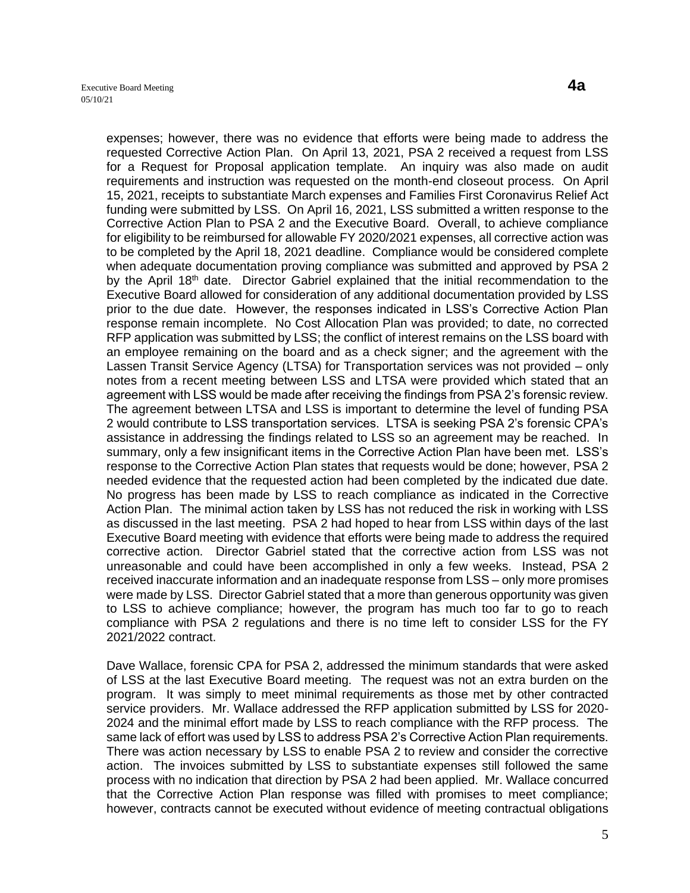expenses; however, there was no evidence that efforts were being made to address the requested Corrective Action Plan. On April 13, 2021, PSA 2 received a request from LSS for a Request for Proposal application template. An inquiry was also made on audit requirements and instruction was requested on the month-end closeout process. On April 15, 2021, receipts to substantiate March expenses and Families First Coronavirus Relief Act funding were submitted by LSS. On April 16, 2021, LSS submitted a written response to the Corrective Action Plan to PSA 2 and the Executive Board. Overall, to achieve compliance for eligibility to be reimbursed for allowable FY 2020/2021 expenses, all corrective action was to be completed by the April 18, 2021 deadline. Compliance would be considered complete when adequate documentation proving compliance was submitted and approved by PSA 2 by the April 18<sup>th</sup> date. Director Gabriel explained that the initial recommendation to the Executive Board allowed for consideration of any additional documentation provided by LSS prior to the due date. However, the responses indicated in LSS's Corrective Action Plan response remain incomplete. No Cost Allocation Plan was provided; to date, no corrected RFP application was submitted by LSS; the conflict of interest remains on the LSS board with an employee remaining on the board and as a check signer; and the agreement with the Lassen Transit Service Agency (LTSA) for Transportation services was not provided – only notes from a recent meeting between LSS and LTSA were provided which stated that an agreement with LSS would be made after receiving the findings from PSA 2's forensic review. The agreement between LTSA and LSS is important to determine the level of funding PSA 2 would contribute to LSS transportation services. LTSA is seeking PSA 2's forensic CPA's assistance in addressing the findings related to LSS so an agreement may be reached. In summary, only a few insignificant items in the Corrective Action Plan have been met. LSS's response to the Corrective Action Plan states that requests would be done; however, PSA 2 needed evidence that the requested action had been completed by the indicated due date. No progress has been made by LSS to reach compliance as indicated in the Corrective Action Plan. The minimal action taken by LSS has not reduced the risk in working with LSS as discussed in the last meeting. PSA 2 had hoped to hear from LSS within days of the last Executive Board meeting with evidence that efforts were being made to address the required corrective action. Director Gabriel stated that the corrective action from LSS was not unreasonable and could have been accomplished in only a few weeks. Instead, PSA 2 received inaccurate information and an inadequate response from LSS – only more promises were made by LSS. Director Gabriel stated that a more than generous opportunity was given to LSS to achieve compliance; however, the program has much too far to go to reach compliance with PSA 2 regulations and there is no time left to consider LSS for the FY 2021/2022 contract.

Dave Wallace, forensic CPA for PSA 2, addressed the minimum standards that were asked of LSS at the last Executive Board meeting. The request was not an extra burden on the program. It was simply to meet minimal requirements as those met by other contracted service providers. Mr. Wallace addressed the RFP application submitted by LSS for 2020- 2024 and the minimal effort made by LSS to reach compliance with the RFP process. The same lack of effort was used by LSS to address PSA 2's Corrective Action Plan requirements. There was action necessary by LSS to enable PSA 2 to review and consider the corrective action. The invoices submitted by LSS to substantiate expenses still followed the same process with no indication that direction by PSA 2 had been applied. Mr. Wallace concurred that the Corrective Action Plan response was filled with promises to meet compliance; however, contracts cannot be executed without evidence of meeting contractual obligations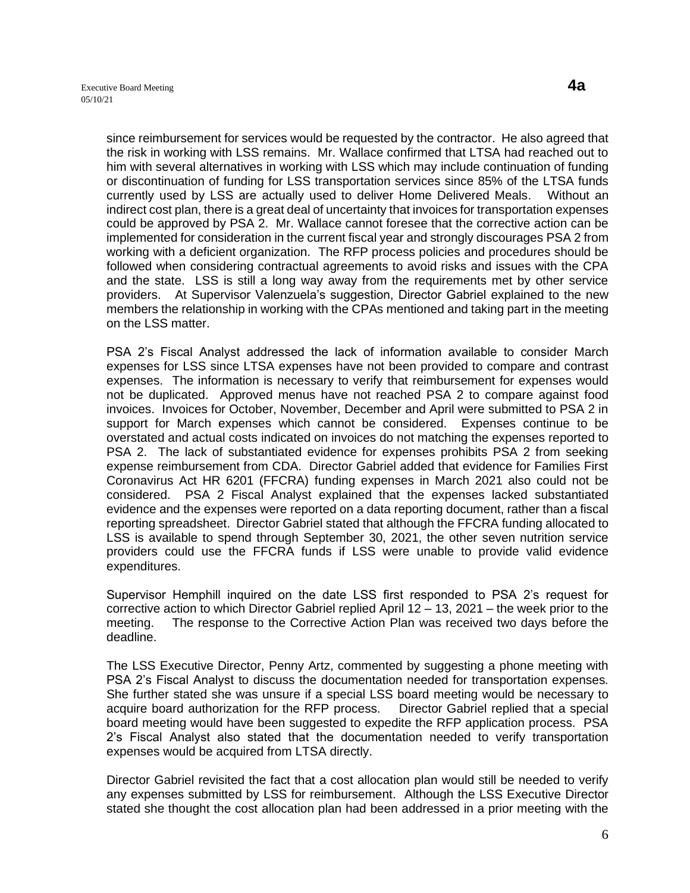since reimbursement for services would be requested by the contractor. He also agreed that the risk in working with LSS remains. Mr. Wallace confirmed that LTSA had reached out to him with several alternatives in working with LSS which may include continuation of funding or discontinuation of funding for LSS transportation services since 85% of the LTSA funds currently used by LSS are actually used to deliver Home Delivered Meals. Without an indirect cost plan, there is a great deal of uncertainty that invoices for transportation expenses could be approved by PSA 2. Mr. Wallace cannot foresee that the corrective action can be implemented for consideration in the current fiscal year and strongly discourages PSA 2 from working with a deficient organization. The RFP process policies and procedures should be followed when considering contractual agreements to avoid risks and issues with the CPA and the state. LSS is still a long way away from the requirements met by other service providers. At Supervisor Valenzuela's suggestion, Director Gabriel explained to the new members the relationship in working with the CPAs mentioned and taking part in the meeting on the LSS matter.

PSA 2's Fiscal Analyst addressed the lack of information available to consider March expenses for LSS since LTSA expenses have not been provided to compare and contrast expenses. The information is necessary to verify that reimbursement for expenses would not be duplicated. Approved menus have not reached PSA 2 to compare against food invoices. Invoices for October, November, December and April were submitted to PSA 2 in support for March expenses which cannot be considered. Expenses continue to be overstated and actual costs indicated on invoices do not matching the expenses reported to PSA 2. The lack of substantiated evidence for expenses prohibits PSA 2 from seeking expense reimbursement from CDA. Director Gabriel added that evidence for Families First Coronavirus Act HR 6201 (FFCRA) funding expenses in March 2021 also could not be considered. PSA 2 Fiscal Analyst explained that the expenses lacked substantiated evidence and the expenses were reported on a data reporting document, rather than a fiscal reporting spreadsheet. Director Gabriel stated that although the FFCRA funding allocated to LSS is available to spend through September 30, 2021, the other seven nutrition service providers could use the FFCRA funds if LSS were unable to provide valid evidence expenditures.

Supervisor Hemphill inquired on the date LSS first responded to PSA 2's request for corrective action to which Director Gabriel replied April 12 – 13, 2021 – the week prior to the meeting. The response to the Corrective Action Plan was received two days before the deadline.

The LSS Executive Director, Penny Artz, commented by suggesting a phone meeting with PSA 2's Fiscal Analyst to discuss the documentation needed for transportation expenses. She further stated she was unsure if a special LSS board meeting would be necessary to acquire board authorization for the RFP process. Director Gabriel replied that a special board meeting would have been suggested to expedite the RFP application process. PSA 2's Fiscal Analyst also stated that the documentation needed to verify transportation expenses would be acquired from LTSA directly.

Director Gabriel revisited the fact that a cost allocation plan would still be needed to verify any expenses submitted by LSS for reimbursement. Although the LSS Executive Director stated she thought the cost allocation plan had been addressed in a prior meeting with the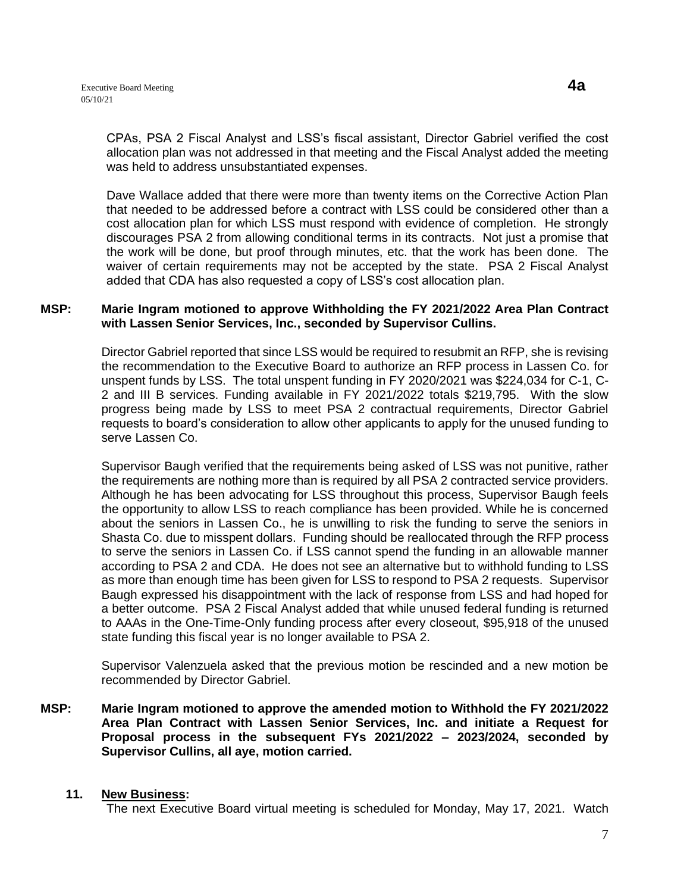CPAs, PSA 2 Fiscal Analyst and LSS's fiscal assistant, Director Gabriel verified the cost allocation plan was not addressed in that meeting and the Fiscal Analyst added the meeting was held to address unsubstantiated expenses.

Dave Wallace added that there were more than twenty items on the Corrective Action Plan that needed to be addressed before a contract with LSS could be considered other than a cost allocation plan for which LSS must respond with evidence of completion. He strongly discourages PSA 2 from allowing conditional terms in its contracts. Not just a promise that the work will be done, but proof through minutes, etc. that the work has been done. The waiver of certain requirements may not be accepted by the state. PSA 2 Fiscal Analyst added that CDA has also requested a copy of LSS's cost allocation plan.

#### **MSP: Marie Ingram motioned to approve Withholding the FY 2021/2022 Area Plan Contract with Lassen Senior Services, Inc., seconded by Supervisor Cullins.**

Director Gabriel reported that since LSS would be required to resubmit an RFP, she is revising the recommendation to the Executive Board to authorize an RFP process in Lassen Co. for unspent funds by LSS. The total unspent funding in FY 2020/2021 was \$224,034 for C-1, C-2 and III B services. Funding available in FY 2021/2022 totals \$219,795. With the slow progress being made by LSS to meet PSA 2 contractual requirements, Director Gabriel requests to board's consideration to allow other applicants to apply for the unused funding to serve Lassen Co.

Supervisor Baugh verified that the requirements being asked of LSS was not punitive, rather the requirements are nothing more than is required by all PSA 2 contracted service providers. Although he has been advocating for LSS throughout this process, Supervisor Baugh feels the opportunity to allow LSS to reach compliance has been provided. While he is concerned about the seniors in Lassen Co., he is unwilling to risk the funding to serve the seniors in Shasta Co. due to misspent dollars. Funding should be reallocated through the RFP process to serve the seniors in Lassen Co. if LSS cannot spend the funding in an allowable manner according to PSA 2 and CDA. He does not see an alternative but to withhold funding to LSS as more than enough time has been given for LSS to respond to PSA 2 requests. Supervisor Baugh expressed his disappointment with the lack of response from LSS and had hoped for a better outcome. PSA 2 Fiscal Analyst added that while unused federal funding is returned to AAAs in the One-Time-Only funding process after every closeout, \$95,918 of the unused state funding this fiscal year is no longer available to PSA 2.

Supervisor Valenzuela asked that the previous motion be rescinded and a new motion be recommended by Director Gabriel.

**MSP: Marie Ingram motioned to approve the amended motion to Withhold the FY 2021/2022 Area Plan Contract with Lassen Senior Services, Inc. and initiate a Request for Proposal process in the subsequent FYs 2021/2022 – 2023/2024, seconded by Supervisor Cullins, all aye, motion carried.** 

#### **11. New Business:**

The next Executive Board virtual meeting is scheduled for Monday, May 17, 2021. Watch